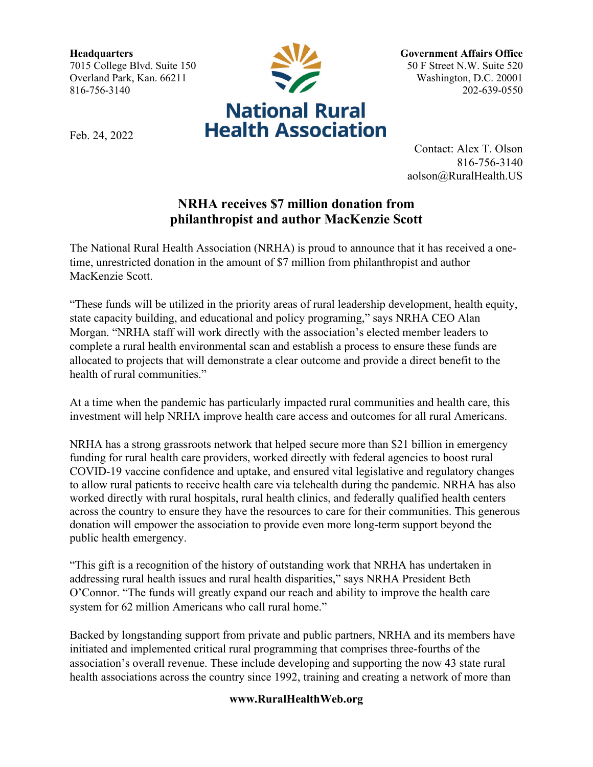**Headquarters** 7015 College Blvd. Suite 150 Overland Park, Kan. 66211 816-756-3140



Feb. 24, 2022

**Government Affairs Office** 50 F Street N.W. Suite 520 Washington, D.C. 20001 202-639-0550

Contact: Alex T. Olson 816-756-3140 aolson@RuralHealth.US

## **NRHA receives \$7 million donation from philanthropist and author MacKenzie Scott**

The National Rural Health Association (NRHA) is proud to announce that it has received a onetime, unrestricted donation in the amount of \$7 million from philanthropist and author MacKenzie Scott.

"These funds will be utilized in the priority areas of rural leadership development, health equity, state capacity building, and educational and policy programing," says NRHA CEO Alan Morgan. "NRHA staff will work directly with the association's elected member leaders to complete a rural health environmental scan and establish a process to ensure these funds are allocated to projects that will demonstrate a clear outcome and provide a direct benefit to the health of rural communities."

At a time when the pandemic has particularly impacted rural communities and health care, this investment will help NRHA improve health care access and outcomes for all rural Americans.

NRHA has a strong grassroots network that helped secure more than \$21 billion in emergency funding for rural health care providers, worked directly with federal agencies to boost rural COVID-19 vaccine confidence and uptake, and ensured vital legislative and regulatory changes to allow rural patients to receive health care via telehealth during the pandemic. NRHA has also worked directly with rural hospitals, rural health clinics, and federally qualified health centers across the country to ensure they have the resources to care for their communities. This generous donation will empower the association to provide even more long-term support beyond the public health emergency.

"This gift is a recognition of the history of outstanding work that NRHA has undertaken in addressing rural health issues and rural health disparities," says NRHA President Beth O'Connor. "The funds will greatly expand our reach and ability to improve the health care system for 62 million Americans who call rural home."

Backed by longstanding support from private and public partners, NRHA and its members have initiated and implemented critical rural programming that comprises three-fourths of the association's overall revenue. These include developing and supporting the now 43 state rural health associations across the country since 1992, training and creating a network of more than

## **www.RuralHealthWeb.org**